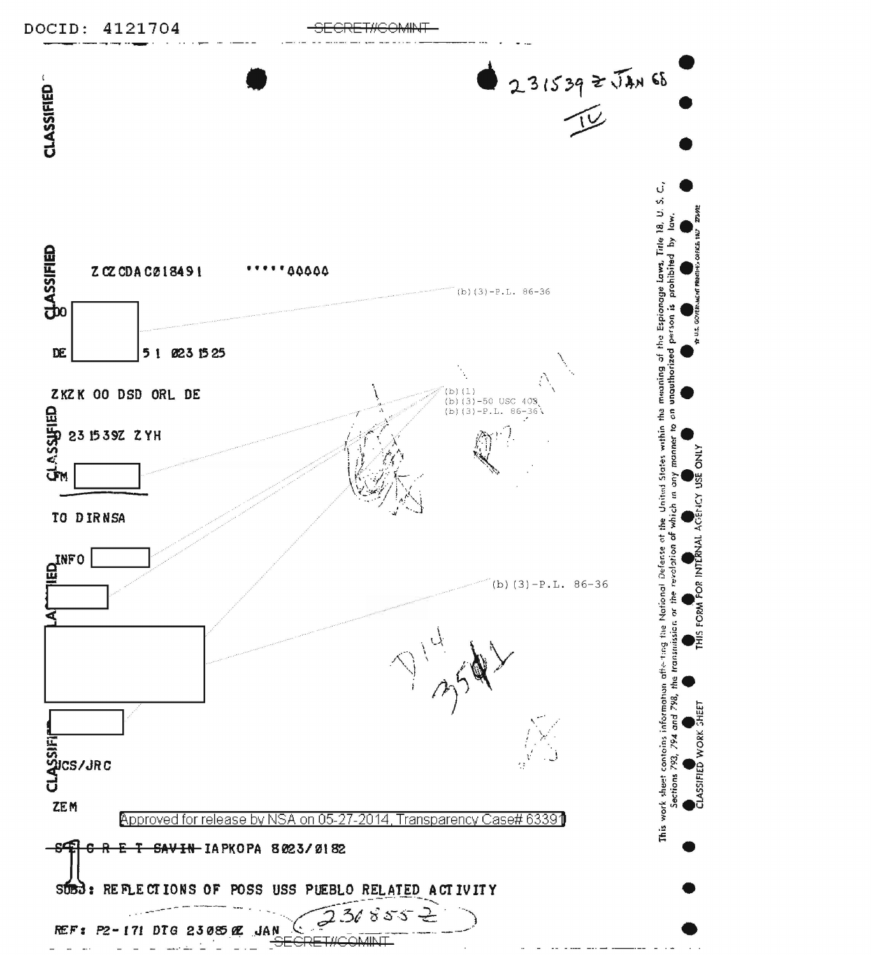

REF': *P2- <sup>111</sup>*DTG 2J 085 '1E JAN ( ..... \_ --· ·--- ----.. ---- . .. SECRE:TJ+GO~Al~JT - - - \_ ... \_ . ...:..\_ - - - . - -